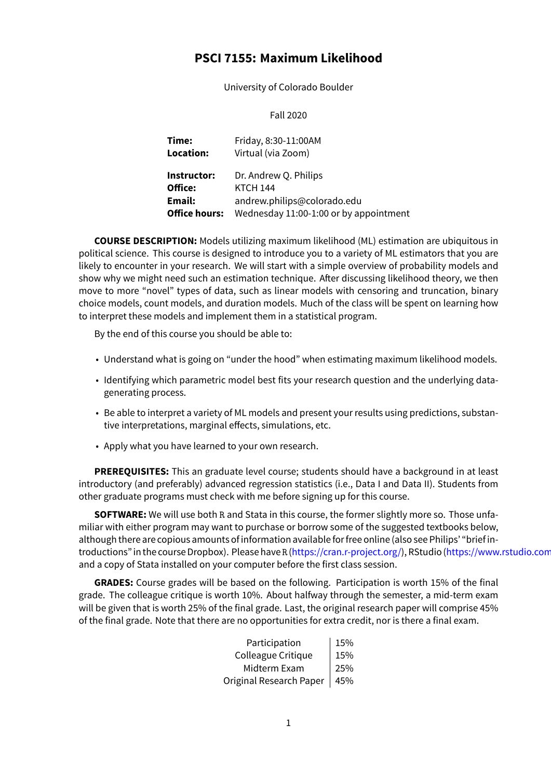# **PSCI 7155: Maximum Likelihood**

University of Colorado Boulder

Fall 2020

| Time:                | Friday, 8:30-11:00AM                   |
|----------------------|----------------------------------------|
| Location:            | Virtual (via Zoom)                     |
| Instructor:          | Dr. Andrew Q. Philips                  |
| Office:              | <b>KTCH 144</b>                        |
| Email:               | andrew.philips@colorado.edu            |
| <b>Office hours:</b> | Wednesday 11:00-1:00 or by appointment |

**COURSE DESCRIPTION:** Models utilizing maximum likelihood (ML) estimation are ubiquitous in political science. This course is designed to introduce you to a variety of ML estimators that you are likely to encounter in your research. We will start with a simple overview of probability models and show why we might need such an estimation technique. After discussing likelihood theory, we then move to more "novel" types of data, such as linear models with censoring and truncation, binary choice models, count models, and duration models. Much of the class will be spent on learning how to interpret these models and implement them in a statistical program.

By the end of this course you should be able to:

- Understand what is going on "under the hood" when estimating maximum likelihood models.
- Identifying which parametric model best fits your research question and the underlying datagenerating process.
- Be able to interpret a variety of ML models and present your results using predictions, substantive interpretations, marginal effects, simulations, etc.
- Apply what you have learned to your own research.

**PREREQUISITES:** This an graduate level course; students should have a background in at least introductory (and preferably) advanced regression statistics (i.e., Data I and Data II). Students from other graduate programs must check with me before signing up for this course.

**SOFTWARE:** We will use both R and Stata in this course, the former slightly more so. Those unfamiliar with either program may want to purchase or borrow some of the suggested textbooks below, although there are copious amounts of information available for free online (also see Philips' "brief introductions" in the course Dropbox). Please have R (https://cran.r-project.org/), RStudio (https://www.rstudio.com/) and a copy of Stata installed on your computer before the first class session.

**GRADES:** Course grades will be based on the following. Participation is worth 15% of the final grade. The colleague critique is worth 10%. Abou[t halfway through the seme](https://cran.r-project.org/)ster, a mi[d-term exam](https://www.rstudio.com/) will be given that is worth 25% of the final grade. Last, the original research paper will comprise 45% of the final grade. Note that there are no opportunities for extra credit, nor is there a final exam.

| Participation           | 15% |
|-------------------------|-----|
| Colleague Critique      | 15% |
| Midterm Exam            | 25% |
| Original Research Paper | 45% |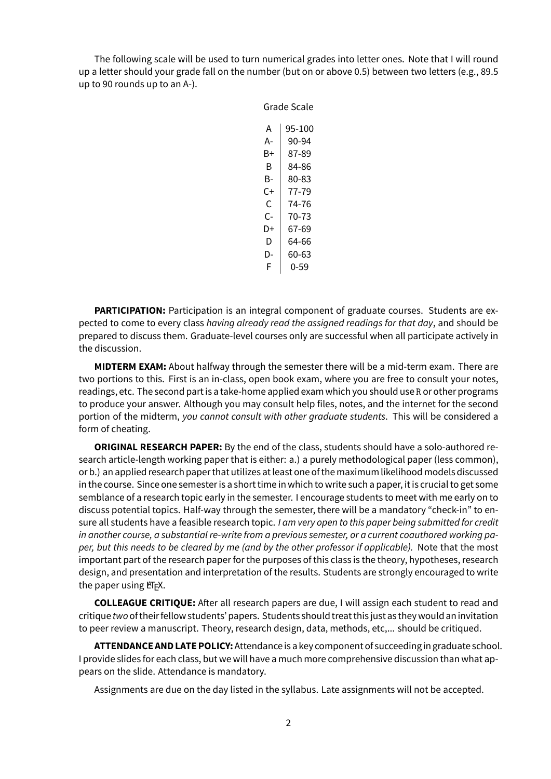The following scale will be used to turn numerical grades into letter ones. Note that I will round up a letter should your grade fall on the number (but on or above 0.5) between two letters (e.g., 89.5 up to 90 rounds up to an A-).

Grade Scale

| Grade Scale |        |  |
|-------------|--------|--|
|             |        |  |
| А           | 95-100 |  |
| А-          | 90-94  |  |
| B+          | 87-89  |  |
| R           | 84-86  |  |
| B-          | 80-83  |  |
| C+          | 77-79  |  |
| C           | 74-76  |  |
| C-          | 70-73  |  |
| D+          | 67-69  |  |
| D           | 64-66  |  |
| D-          | 60-63  |  |
| F           | 0-59   |  |

**PARTICIPATION:** Participation is an integral component of graduate courses. Students are expected to come to every class *having already read the assigned readings for that day*, and should be prepared to discuss them. Graduate-level courses only are successful when all participate actively in the discussion.

**MIDTERM EXAM:** About halfway through the semester there will be a mid-term exam. There are two portions to this. First is an in-class, open book exam, where you are free to consult your notes, readings, etc. The second part is a take-home applied exam which you should use R or other programs to produce your answer. Although you may consult help files, notes, and the internet for the second portion of the midterm, *you cannot consult with other graduate students*. This will be considered a form of cheating.

**ORIGINAL RESEARCH PAPER:** By the end of the class, students should have a solo-authored research article-length working paper that is either: a.) a purely methodological paper (less common), or b.) an applied research paper that utilizes at least one of the maximum likelihood models discussed in the course. Since one semester is a short time in which to write such a paper, it is crucial to get some semblance of a research topic early in the semester. I encourage students to meet with me early on to discuss potential topics. Half-way through the semester, there will be a mandatory "check-in" to ensure all students have a feasible research topic. *I am very open to this paper being submitted for credit in another course, a substantial re-write from a previous semester, or a current coauthored working paper, but this needs to be cleared by me (and by the other professor if applicable).* Note that the most important part of the research paper for the purposes of this class is the theory, hypotheses, research design, and presentation and interpretation of the results. Students are strongly encouraged to write the paper using LTFX.

**COLLEAGUE CRITIQUE:** After all research papers are due, I will assign each student to read and critique *two*of theirfellow students' papers. Students should treat this just as they would an invitation to peer review a manuscript. Theory, research design, data, methods, etc,... should be critiqued.

**ATTENDANCE AND LATE POLICY:**Attendance is a key component of succeeding in graduate school. I provide slides for each class, but we will have a much more comprehensive discussion than what appears on the slide. Attendance is mandatory.

Assignments are due on the day listed in the syllabus. Late assignments will not be accepted.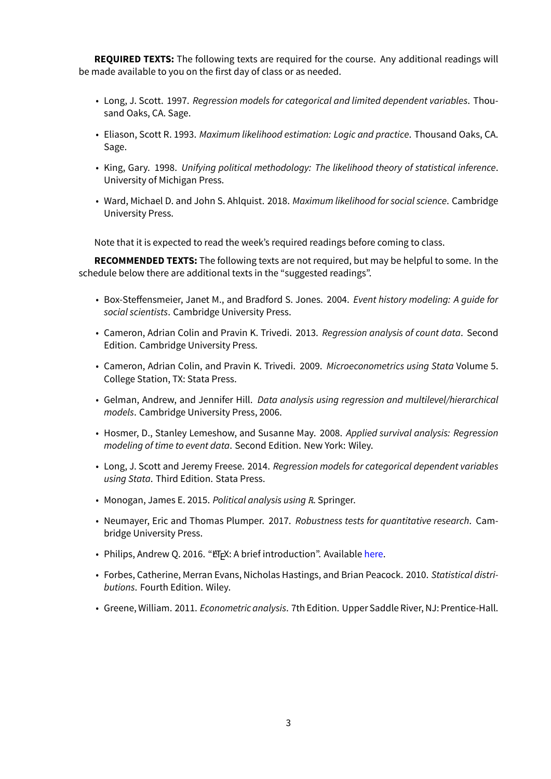**REQUIRED TEXTS:** The following texts are required for the course. Any additional readings will be made available to you on the first day of class or as needed.

- Long, J. Scott. 1997. *Regression models for categorical and limited dependent variables*. Thousand Oaks, CA. Sage.
- Eliason, Scott R. 1993. *Maximum likelihood estimation: Logic and practice*. Thousand Oaks, CA. Sage.
- King, Gary. 1998. *Unifying political methodology: The likelihood theory of statistical inference*. University of Michigan Press.
- Ward, Michael D. and John S. Ahlquist. 2018. *Maximum likelihood for social science*. Cambridge University Press.

Note that it is expected to read the week's required readings before coming to class.

**RECOMMENDED TEXTS:** The following texts are not required, but may be helpful to some. In the schedule below there are additional texts in the "suggested readings".

- Box-Steffensmeier, Janet M., and Bradford S. Jones. 2004. *Event history modeling: A guide for social scientists*. Cambridge University Press.
- Cameron, Adrian Colin and Pravin K. Trivedi. 2013. *Regression analysis of count data*. Second Edition. Cambridge University Press.
- Cameron, Adrian Colin, and Pravin K. Trivedi. 2009. *Microeconometrics using Stata* Volume 5. College Station, TX: Stata Press.
- Gelman, Andrew, and Jennifer Hill. *Data analysis using regression and multilevel/hierarchical models*. Cambridge University Press, 2006.
- Hosmer, D., Stanley Lemeshow, and Susanne May. 2008. *Applied survival analysis: Regression modeling of time to event data*. Second Edition. New York: Wiley.
- Long, J. Scott and Jeremy Freese. 2014. *Regression models for categorical dependent variables using Stata*. Third Edition. Stata Press.
- Monogan, James E. 2015. *Political analysis using R*. Springer.
- Neumayer, Eric and Thomas Plumper. 2017. *Robustness tests for quantitative research*. Cambridge University Press.
- Philips, Andrew Q. 2016. "ETEX: A brief introduction". Available here.
- Forbes, Catherine, Merran Evans, Nicholas Hastings, and Brian Peacock. 2010. *Statistical distributions*. Fourth Edition. Wiley.
- Greene, William. 2011. *Econometric analysis*. 7th Edition. Upp[er Sad](http://www.andyphilips.com/downloads/introduction%20to%20latex%20Philips.pdf)dle River, NJ: Prentice-Hall.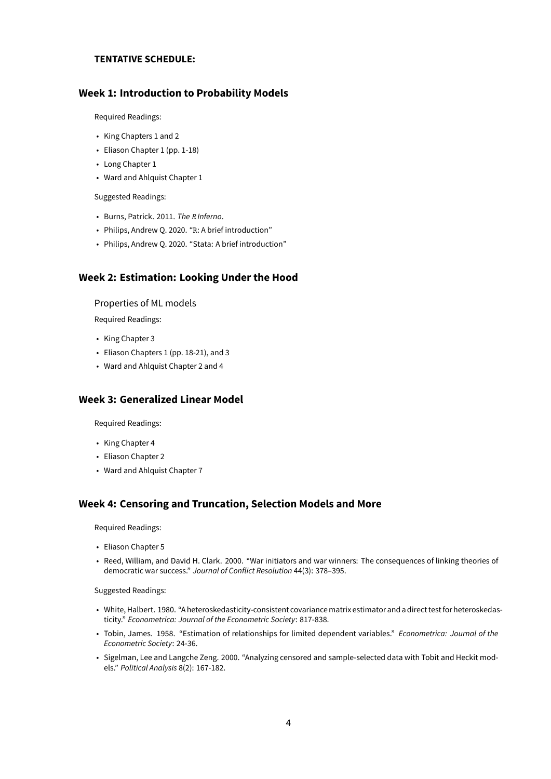#### **TENTATIVE SCHEDULE:**

### **Week 1: Introduction to Probability Models**

Required Readings:

- King Chapters 1 and 2
- Eliason Chapter 1 (pp. 1-18)
- Long Chapter 1
- Ward and Ahlquist Chapter 1

Suggested Readings:

- Burns, Patrick. 2011. *The R Inferno*.
- Philips, Andrew Q. 2020. "R: A brief introduction"
- Philips, Andrew Q. 2020. "Stata: A brief introduction"

#### **Week 2: Estimation: Looking Under the Hood**

Properties of ML models

Required Readings:

- King Chapter 3
- Eliason Chapters 1 (pp. 18-21), and 3
- Ward and Ahlquist Chapter 2 and 4

## **Week 3: Generalized Linear Model**

Required Readings:

- King Chapter 4
- Eliason Chapter 2
- Ward and Ahlquist Chapter 7

#### **Week 4: Censoring and Truncation, Selection Models and More**

Required Readings:

- Eliason Chapter 5
- Reed, William, and David H. Clark. 2000. "War initiators and war winners: The consequences of linking theories of democratic war success." *Journal of Conflict Resolution* 44(3): 378–395.

#### Suggested Readings:

- White, Halbert. 1980. "A heteroskedasticity-consistent covariancematrix estimator and a direct testfor heteroskedasticity." *Econometrica: Journal of the Econometric Society*: 817-838.
- Tobin, James. 1958. "Estimation of relationships for limited dependent variables." *Econometrica: Journal of the Econometric Society*: 24-36.
- Sigelman, Lee and Langche Zeng. 2000. "Analyzing censored and sample-selected data with Tobit and Heckit models." *Political Analysis* 8(2): 167-182.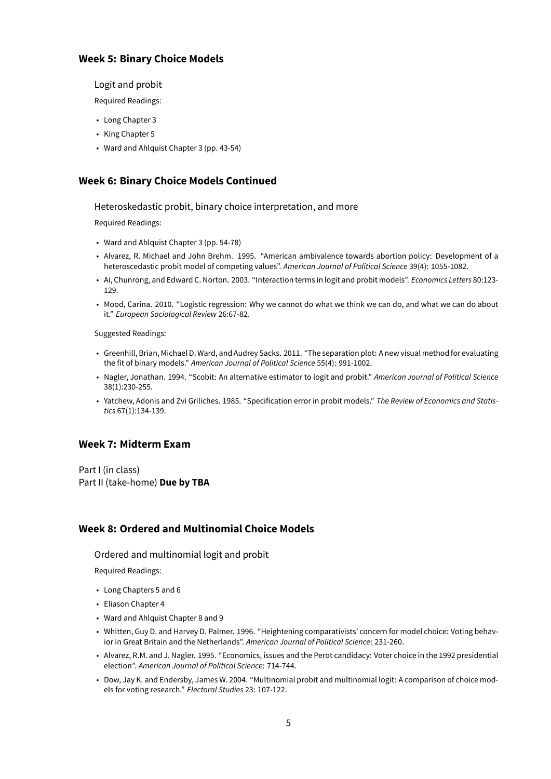## **Week 5: Binary Choice Models**

Logit and probit

Required Readings:

- Long Chapter 3
- King Chapter 5
- Ward and Ahlquist Chapter 3 (pp. 43-54)

## **Week 6: Binary Choice Models Continued**

Heteroskedastic probit, binary choice interpretation, and more

Required Readings:

- Ward and Ahlquist Chapter 3 (pp. 54-78)
- Alvarez, R. Michael and John Brehm. 1995. "American ambivalence towards abortion policy: Development of a heteroscedastic probit model of competing values". *American Journal of Political Science* 39(4): 1055-1082.
- Ai, Chunrong, and Edward C. Norton. 2003. "Interaction terms in logit and probit models". *Economics Letters* 80:123- 129.
- Mood, Carina. 2010. "Logistic regression: Why we cannot do what we think we can do, and what we can do about it." *European Sociological Review* 26:67-82.

Suggested Readings:

- Greenhill, Brian, Michael D. Ward, and Audrey Sacks. 2011. "The separation plot: A new visual method for evaluating the fit of binary models." *American Journal of Political Science* 55(4): 991-1002.
- Nagler, Jonathan. 1994. "Scobit: An alternative estimator to logit and probit." *American Journal of Political Science* 38(1):230-255.
- Yatchew, Adonis and Zvi Griliches. 1985. "Specification error in probit models." *The Review of Economics and Statistics* 67(1):134-139.

## **Week 7: Midterm Exam**

Part I (in class) Part II (take-home) **Due by TBA**

## **Week 8: Ordered and Multinomial Choice Models**

Ordered and multinomial logit and probit

Required Readings:

- Long Chapters 5 and 6
- Eliason Chapter 4
- Ward and Ahlquist Chapter 8 and 9
- Whitten, Guy D. and Harvey D. Palmer. 1996. "Heightening comparativists' concern for model choice: Voting behavior in Great Britain and the Netherlands". *American Journal of Political Science*: 231-260.
- Alvarez, R.M. and J. Nagler. 1995. "Economics, issues and the Perot candidacy: Voter choice in the 1992 presidential election". *American Journal of Political Science*: 714-744.
- Dow, Jay K. and Endersby, James W. 2004. "Multinomial probit and multinomial logit: A comparison of choice models for voting research." *Electoral Studies* 23: 107-122.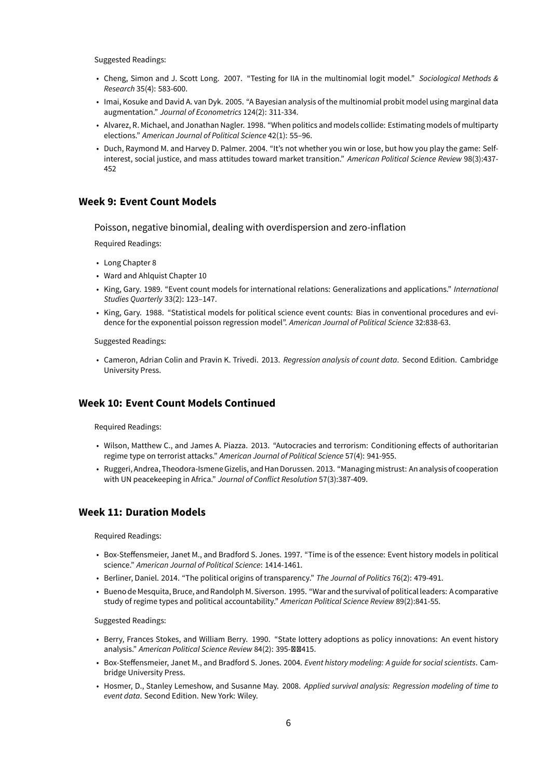Suggested Readings:

- Cheng, Simon and J. Scott Long. 2007. "Testing for IIA in the multinomial logit model." *Sociological Methods & Research* 35(4): 583-600.
- Imai, Kosuke and David A. van Dyk. 2005. "A Bayesian analysis of the multinomial probit model using marginal data augmentation." *Journal of Econometrics* 124(2): 311-334.
- Alvarez, R. Michael, and Jonathan Nagler. 1998. "When politics and models collide: Estimating models of multiparty elections." *American Journal of Political Science* 42(1): 55–96.
- Duch, Raymond M. and Harvey D. Palmer. 2004. "It's not whether you win or lose, but how you play the game: Selfinterest, social justice, and mass attitudes toward market transition." *American Political Science Review* 98(3):437- 452

### **Week 9: Event Count Models**

Poisson, negative binomial, dealing with overdispersion and zero-inflation

Required Readings:

- Long Chapter 8
- Ward and Ahlquist Chapter 10
- King, Gary. 1989. "Event count models for international relations: Generalizations and applications." *International Studies Quarterly* 33(2): 123–147.
- King, Gary. 1988. "Statistical models for political science event counts: Bias in conventional procedures and evidence for the exponential poisson regression model". *American Journal of Political Science* 32:838-63.

#### Suggested Readings:

• Cameron, Adrian Colin and Pravin K. Trivedi. 2013. *Regression analysis of count data*. Second Edition. Cambridge University Press.

## **Week 10: Event Count Models Continued**

Required Readings:

- Wilson, Matthew C., and James A. Piazza. 2013. "Autocracies and terrorism: Conditioning effects of authoritarian regime type on terrorist attacks." *American Journal of Political Science* 57(4): 941-955.
- Ruggeri, Andrea, Theodora-Ismene Gizelis, and Han Dorussen. 2013. "Managingmistrust: An analysis of cooperation with UN peacekeeping in Africa." *Journal of Conflict Resolution* 57(3):387-409.

#### **Week 11: Duration Models**

Required Readings:

- Box-Steffensmeier, Janet M., and Bradford S. Jones. 1997. "Time is of the essence: Event history models in political science." *American Journal of Political Science*: 1414-1461.
- Berliner, Daniel. 2014. "The political origins of transparency." *The Journal of Politics* 76(2): 479-491.
- Bueno de Mesquita, Bruce, and Randolph M. Siverson. 1995. "War and the survival of political leaders: A comparative study of regime types and political accountability." *American Political Science Review* 89(2):841-55.

#### Suggested Readings:

- Berry, Frances Stokes, and William Berry. 1990. "State lottery adoptions as policy innovations: An event history analysis." American Political Science Review 84(2): 395-Ø Ø 415.
- Box-Steffensmeier, Janet M., and Bradford S. Jones. 2004. *Event history modeling: A guide for social scientists*. Cambridge University Press.
- Hosmer, D., Stanley Lemeshow, and Susanne May. 2008. *Applied survival analysis: Regression modeling of time to event data*. Second Edition. New York: Wiley.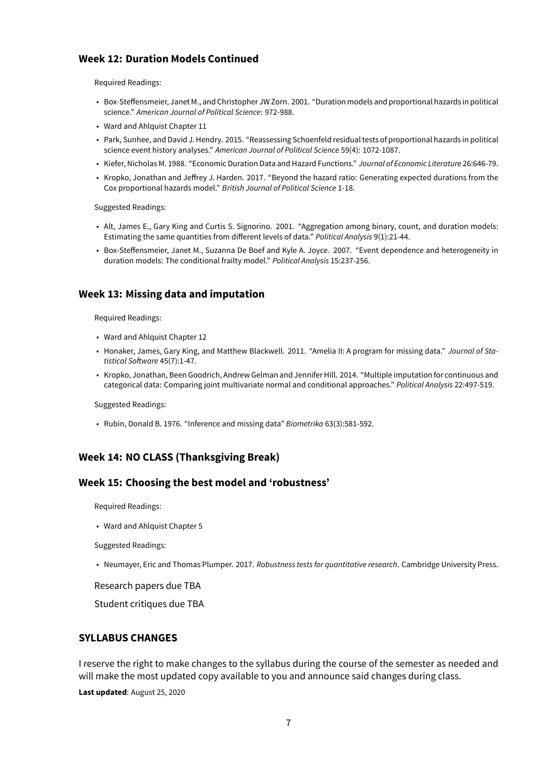## **Week 12: Duration Models Continued**

Required Readings:

- Box-Steffensmeier, Janet M., and Christopher JW Zorn. 2001. "Duration models and proportional hazards in political science." *American Journal of Political Science*: 972-988.
- Ward and Ahlquist Chapter 11
- Park, Sunhee, and David J. Hendry. 2015. "Reassessing Schoenfeld residual tests of proportional hazards in political science event history analyses." *American Journal of Political Science* 59(4): 1072-1087.
- Kiefer, Nicholas M. 1988. "Economic Duration Data and Hazard Functions." *Journal of Economic Literature* 26:646-79.
- Kropko, Jonathan and Jeffrey J. Harden. 2017. "Beyond the hazard ratio: Generating expected durations from the Cox proportional hazards model." *British Journal of Political Science* 1-18.

Suggested Readings:

- Alt, James E., Gary King and Curtis S. Signorino. 2001. "Aggregation among binary, count, and duration models: Estimating the same quantities from different levels of data." *Political Analysis* 9(1):21-44.
- Box-Steffensmeier, Janet M., Suzanna De Boef and Kyle A. Joyce. 2007. "Event dependence and heterogeneity in duration models: The conditional frailty model." *Political Analysis* 15:237-256.

#### **Week 13: Missing data and imputation**

Required Readings:

- Ward and Ahlquist Chapter 12
- Honaker, James, Gary King, and Matthew Blackwell. 2011. "Amelia II: A program for missing data." *Journal of Statistical Software* 45(7):1-47.
- Kropko, Jonathan, Been Goodrich, Andrew Gelman and Jennifer Hill. 2014. "Multiple imputation for continuous and categorical data: Comparing joint multivariate normal and conditional approaches." *Political Analysis* 22:497-519.

Suggested Readings:

• Rubin, Donald B. 1976. "Inference and missing data" *Biometrika* 63(3):581-592.

#### **Week 14: NO CLASS (Thanksgiving Break)**

#### **Week 15: Choosing the best model and 'robustness'**

Required Readings:

• Ward and Ahlquist Chapter 5

Suggested Readings:

• Neumayer, Eric and Thomas Plumper. 2017. *Robustness tests for quantitative research*. Cambridge University Press.

Research papers due TBA

Student critiques due TBA

### **SYLLABUS CHANGES**

I reserve the right to make changes to the syllabus during the course of the semester as needed and will make the most updated copy available to you and announce said changes during class.

**Last updated**: August 25, 2020